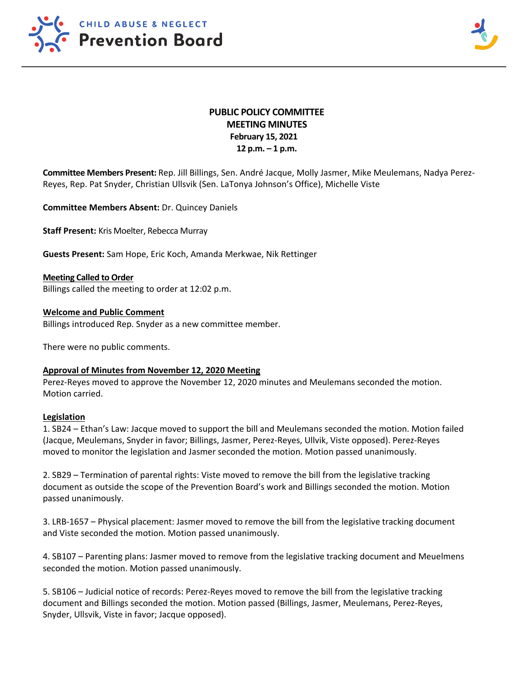



# **PUBLIC POLICY COMMITTEE MEETING MINUTES February 15, 2021 12 p.m. – 1 p.m.**

**Committee Members Present:** Rep. Jill Billings, Sen. André Jacque, Molly Jasmer, Mike Meulemans, Nadya Perez-Reyes, Rep. Pat Snyder, Christian Ullsvik (Sen. LaTonya Johnson's Office), Michelle Viste

**Committee Members Absent:** Dr. Quincey Daniels

**Staff Present:** Kris Moelter, Rebecca Murray

**Guests Present:** Sam Hope, Eric Koch, Amanda Merkwae, Nik Rettinger

**Meeting Called to Order** Billings called the meeting to order at 12:02 p.m.

## **Welcome and Public Comment**

Billings introduced Rep. Snyder as a new committee member.

There were no public comments.

### **Approval of Minutes from November 12, 2020 Meeting**

Perez-Reyes moved to approve the November 12, 2020 minutes and Meulemans seconded the motion. Motion carried.

#### **Legislation**

1. SB24 – Ethan's Law: Jacque moved to support the bill and Meulemans seconded the motion. Motion failed (Jacque, Meulemans, Snyder in favor; Billings, Jasmer, Perez-Reyes, Ullvik, Viste opposed). Perez-Reyes moved to monitor the legislation and Jasmer seconded the motion. Motion passed unanimously.

2. SB29 – Termination of parental rights: Viste moved to remove the bill from the legislative tracking document as outside the scope of the Prevention Board's work and Billings seconded the motion. Motion passed unanimously.

3. LRB-1657 – Physical placement: Jasmer moved to remove the bill from the legislative tracking document and Viste seconded the motion. Motion passed unanimously.

4. SB107 – Parenting plans: Jasmer moved to remove from the legislative tracking document and Meuelmens seconded the motion. Motion passed unanimously.

5. SB106 – Judicial notice of records: Perez-Reyes moved to remove the bill from the legislative tracking document and Billings seconded the motion. Motion passed (Billings, Jasmer, Meulemans, Perez-Reyes, Snyder, Ullsvik, Viste in favor; Jacque opposed).